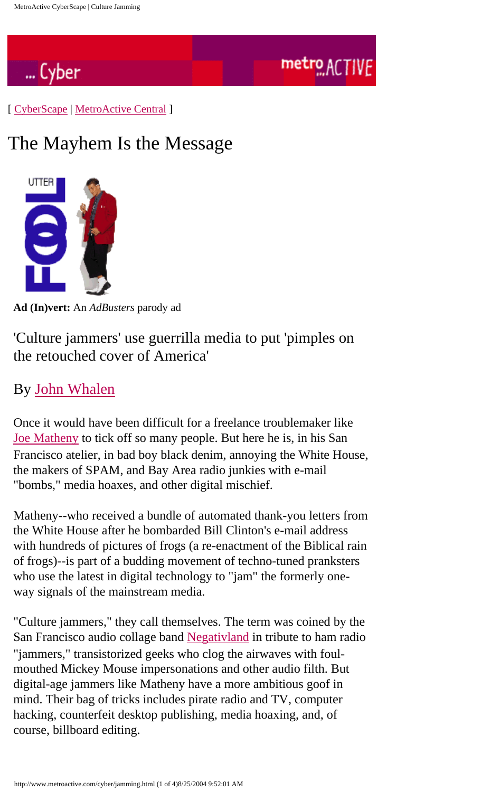

[ [CyberScape](http://www.metroactive.com/cyber/index.html) | [MetroActive Central](http://www.metroactive.com/index.html) ]

## The Mayhem Is the Message



**Ad (In)vert:** An *AdBusters* parody ad

'Culture jammers' use guerrilla media to put 'pimples on the retouched cover of America'

## By [John Whalen](mailto:jw@livewire.com)

Once it would have been difficult for a freelance troublemaker like [Joe Matheny](gopher://gopher.etext.org/00/Zines/last_book_project) to tick off so many people. But here he is, in his San Francisco atelier, in bad boy black denim, annoying the White House, the makers of SPAM, and Bay Area radio junkies with e-mail "bombs," media hoaxes, and other digital mischief.

Matheny--who received a bundle of automated thank-you letters from the White House after he bombarded Bill Clinton's e-mail address with hundreds of pictures of frogs (a re-enactment of the Biblical rain of frogs)--is part of a budding movement of techno-tuned pranksters who use the latest in digital technology to "jam" the formerly oneway signals of the mainstream media.

"Culture jammers," they call themselves. The term was coined by the San Francisco audio collage band [Negativland](http://www.metroactive.com/cyber/neg.html) in tribute to ham radio "jammers," transistorized geeks who clog the airwaves with foulmouthed Mickey Mouse impersonations and other audio filth. But digital-age jammers like Matheny have a more ambitious goof in mind. Their bag of tricks includes pirate radio and TV, computer hacking, counterfeit desktop publishing, media hoaxing, and, of course, billboard editing.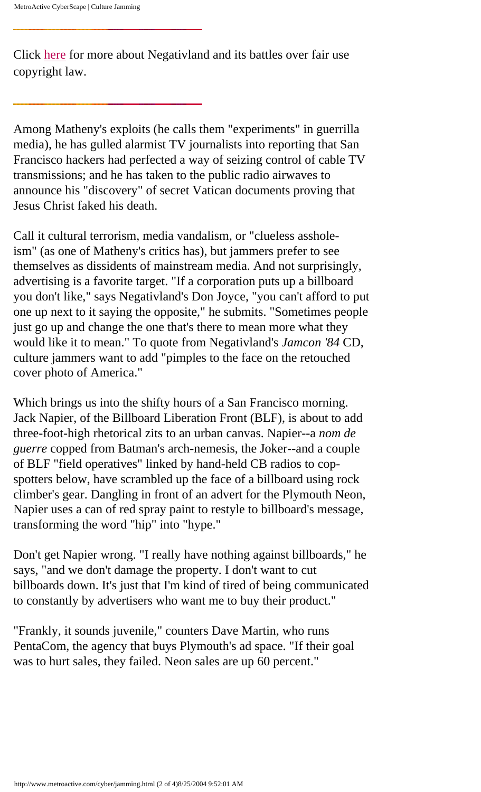Click [here](http://www.metroactive.com/cyber/neg.html) for more about Negativland and its battles over fair use copyright law.

Among Matheny's exploits (he calls them "experiments" in guerrilla media), he has gulled alarmist TV journalists into reporting that San Francisco hackers had perfected a way of seizing control of cable TV transmissions; and he has taken to the public radio airwaves to announce his "discovery" of secret Vatican documents proving that Jesus Christ faked his death.

Call it cultural terrorism, media vandalism, or "clueless assholeism" (as one of Matheny's critics has), but jammers prefer to see themselves as dissidents of mainstream media. And not surprisingly, advertising is a favorite target. "If a corporation puts up a billboard you don't like," says Negativland's Don Joyce, "you can't afford to put one up next to it saying the opposite," he submits. "Sometimes people just go up and change the one that's there to mean more what they would like it to mean." To quote from Negativland's *Jamcon '84* CD, culture jammers want to add "pimples to the face on the retouched cover photo of America."

Which brings us into the shifty hours of a San Francisco morning. Jack Napier, of the Billboard Liberation Front (BLF), is about to add three-foot-high rhetorical zits to an urban canvas. Napier--a *nom de guerre* copped from Batman's arch-nemesis, the Joker--and a couple of BLF "field operatives" linked by hand-held CB radios to copspotters below, have scrambled up the face of a billboard using rock climber's gear. Dangling in front of an advert for the Plymouth Neon, Napier uses a can of red spray paint to restyle to billboard's message, transforming the word "hip" into "hype."

Don't get Napier wrong. "I really have nothing against billboards," he says, "and we don't damage the property. I don't want to cut billboards down. It's just that I'm kind of tired of being communicated to constantly by advertisers who want me to buy their product."

"Frankly, it sounds juvenile," counters Dave Martin, who runs PentaCom, the agency that buys Plymouth's ad space. "If their goal was to hurt sales, they failed. Neon sales are up 60 percent."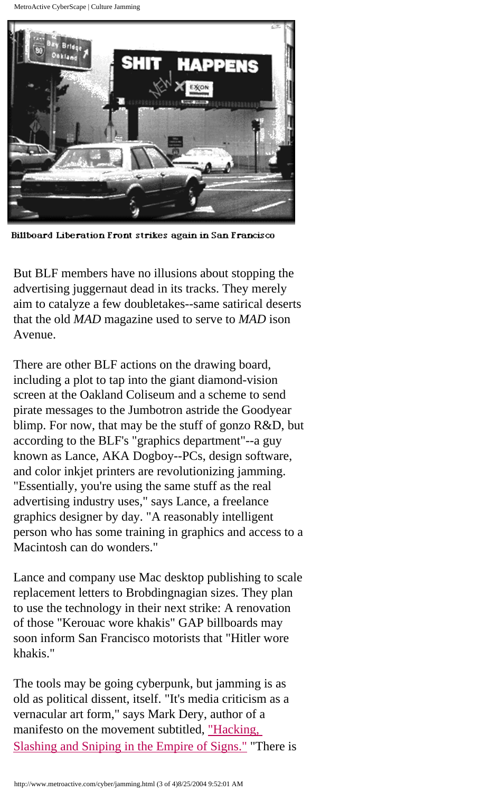MetroActive CyberScape | Culture Jamming



Billboard Liberation Front strikes again in San Francisco

But BLF members have no illusions about stopping the advertising juggernaut dead in its tracks. They merely aim to catalyze a few doubletakes--same satirical deserts that the old *MAD* magazine used to serve to *MAD* ison Avenue.

There are other BLF actions on the drawing board, including a plot to tap into the giant diamond-vision screen at the Oakland Coliseum and a scheme to send pirate messages to the Jumbotron astride the Goodyear blimp. For now, that may be the stuff of gonzo R&D, but according to the BLF's "graphics department"--a guy known as Lance, AKA Dogboy--PCs, design software, and color inkjet printers are revolutionizing jamming. "Essentially, you're using the same stuff as the real advertising industry uses," says Lance, a freelance graphics designer by day. "A reasonably intelligent person who has some training in graphics and access to a Macintosh can do wonders."

Lance and company use Mac desktop publishing to scale replacement letters to Brobdingnagian sizes. They plan to use the technology in their next strike: A renovation of those "Kerouac wore khakis" GAP billboards may soon inform San Francisco motorists that "Hitler wore khakis."

The tools may be going cyberpunk, but jamming is as old as political dissent, itself. "It's media criticism as a vernacular art form," says Mark Dery, author of a manifesto on the movement subtitled, ["Hacking,](http://gopher.well.sf.ca.us:70/0/cyberpunk/cultjam.txt) [Slashing and Sniping in the Empire of Signs."](http://gopher.well.sf.ca.us:70/0/cyberpunk/cultjam.txt) "There is